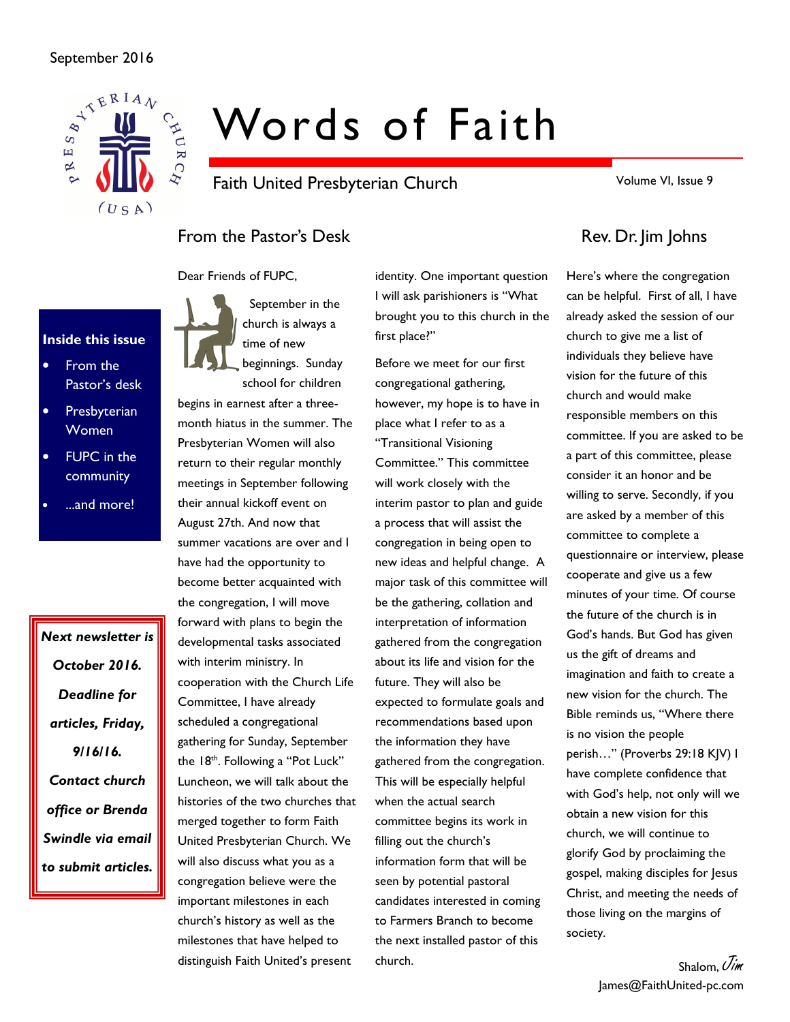### September 2016



# Words of Faith

Faith United Presbyterian Church

Volume VI, Issue 9

# From the Pastor's Desk Rev. Dr. Jim Johns

Dear Friends of FUPC,



- From the Pastor's desk
- **Presbyterian** Women
- **FUPC** in the community
- ...and more!

Next newsletter is October 2016. Deadline for articles, Friday, 9/16/16. Contact church office or Brenda Swindle via email to submit articles.

 September in the church is always a time of new

beginnings. Sunday school for children

begins in earnest after a threemonth hiatus in the summer. The Presbyterian Women will also return to their regular monthly meetings in September following their annual kickoff event on August 27th. And now that summer vacations are over and I have had the opportunity to become better acquainted with the congregation, I will move forward with plans to begin the developmental tasks associated with interim ministry. In cooperation with the Church Life Committee, I have already scheduled a congregational gathering for Sunday, September the 18<sup>th</sup>. Following a "Pot Luck" Luncheon, we will talk about the histories of the two churches that merged together to form Faith United Presbyterian Church. We will also discuss what you as a congregation believe were the important milestones in each church's history as well as the milestones that have helped to distinguish Faith United's present

identity. One important question I will ask parishioners is "What brought you to this church in the first place?"

Before we meet for our first congregational gathering, however, my hope is to have in place what I refer to as a "Transitional Visioning Committee." This committee will work closely with the interim pastor to plan and guide a process that will assist the congregation in being open to new ideas and helpful change. A major task of this committee will be the gathering, collation and interpretation of information gathered from the congregation about its life and vision for the future. They will also be expected to formulate goals and recommendations based upon the information they have gathered from the congregation. This will be especially helpful when the actual search committee begins its work in filling out the church's information form that will be seen by potential pastoral candidates interested in coming to Farmers Branch to become the next installed pastor of this church.

Here's where the congregation can be helpful. First of all, I have already asked the session of our church to give me a list of individuals they believe have vision for the future of this church and would make responsible members on this committee. If you are asked to be a part of this committee, please consider it an honor and be willing to serve. Secondly, if you are asked by a member of this committee to complete a questionnaire or interview, please cooperate and give us a few minutes of your time. Of course the future of the church is in God's hands. But God has given us the gift of dreams and imagination and faith to create a new vision for the church. The Bible reminds us, "Where there is no vision the people perish…" (Proverbs 29:18 KJV) I have complete confidence that with God's help, not only will we obtain a new vision for this church, we will continue to glorify God by proclaiming the gospel, making disciples for Jesus Christ, and meeting the needs of those living on the margins of society.

> Shalom,  $\mathcal{J}_{\mathit{im}}$ James@FaithUnited-pc.com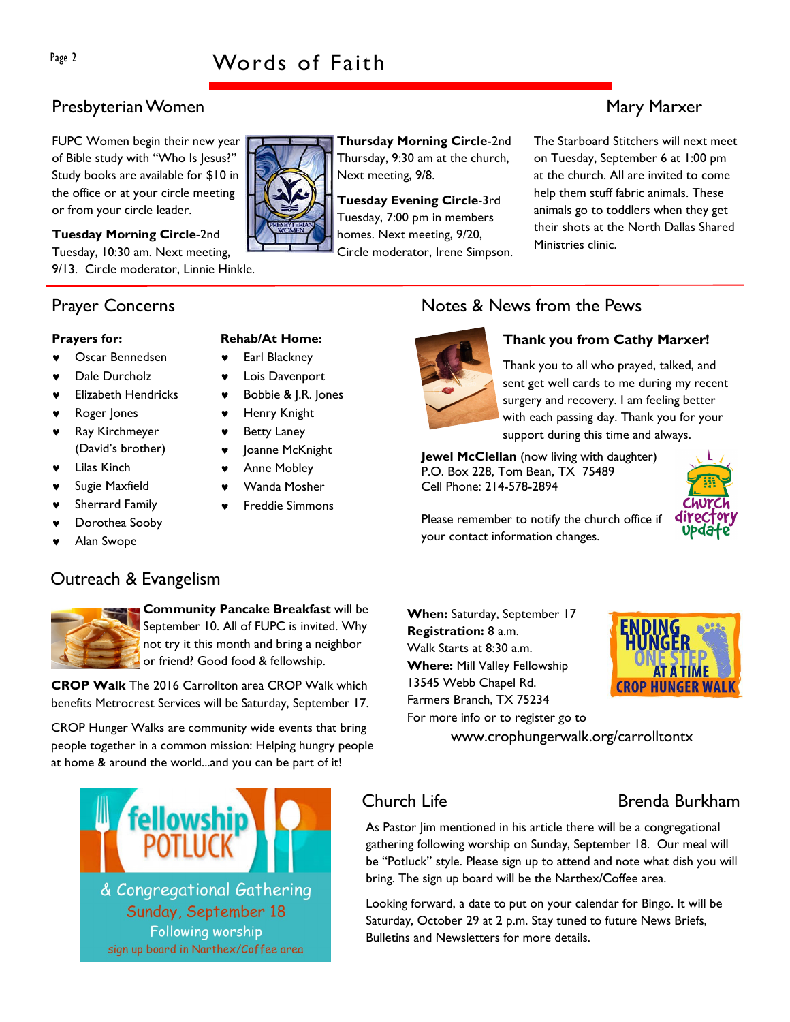## Presbyterian Women Mary Marxer (1999) and the state of the Mary Marxer (1999) and Mary Marxer (1999) and Mary Marxer

FUPC Women begin their new year of Bible study with "Who Is Jesus?" Study books are available for \$10 in the office or at your circle meeting or from your circle leader.

Tuesday Morning Circle-2nd Tuesday, 10:30 am. Next meeting, 9/13. Circle moderator, Linnie Hinkle.

### Prayer Concerns

### Prayers for:

- Oscar Bennedsen
- Dale Durcholz
- **Elizabeth Hendricks**
- Roger Jones
- Ray Kirchmeyer (David's brother)
- ♥ Lilas Kinch
- Sugie Maxfield
- Sherrard Family
- Dorothea Sooby
- Alan Swope

# Rehab/At Home:

- ♥ Earl Blackney
- ♥ Lois Davenport
	-
- Henry Knight
- **Betty Laney**
- Joanne McKnight
- Anne Mobley
- Wanda Mosher
- **Freddie Simmons**

### Notes & News from the Pews



Thursday Morning Circle-2nd Thursday, 9:30 am at the church,

Tuesday Evening Circle-3rd Tuesday, 7:00 pm in members homes. Next meeting, 9/20, Circle moderator, Irene Simpson.

Next meeting, 9/8.

### Thank you from Cathy Marxer!

Thank you to all who prayed, talked, and sent get well cards to me during my recent surgery and recovery. I am feeling better with each passing day. Thank you for your support during this time and always.

Jewel McClellan (now living with daughter) P.O. Box 228, Tom Bean, TX 75489 Cell Phone: 214-578-2894



Please remember to notify the church office if your contact information changes.

Outreach & Evangelism

Community Pancake Breakfast will be September 10. All of FUPC is invited. Why not try it this month and bring a neighbor or friend? Good food & fellowship.

CROP Walk The 2016 Carrollton area CROP Walk which benefits Metrocrest Services will be Saturday, September 17.

CROP Hunger Walks are community wide events that bring people together in a common mission: Helping hungry people at home & around the world...and you can be part of it!



When: Saturday, September 17 Registration: 8 a.m. Walk Starts at 8:30 a.m. Where: Mill Valley Fellowship 13545 Webb Chapel Rd. Farmers Branch, TX 75234 For more info or to register go to



www.crophungerwalk.org/carrolltontx

### Church Life **Brenda Burkham**

As Pastor Jim mentioned in his article there will be a congregational gathering following worship on Sunday, September 18. Our meal will be "Potluck" style. Please sign up to attend and note what dish you will bring. The sign up board will be the Narthex/Coffee area.

Looking forward, a date to put on your calendar for Bingo. It will be Saturday, October 29 at 2 p.m. Stay tuned to future News Briefs, Bulletins and Newsletters for more details.

The Starboard Stitchers will next meet on Tuesday, September 6 at 1:00 pm at the church. All are invited to come help them stuff fabric animals. These animals go to toddlers when they get their shots at the North Dallas Shared Ministries clinic.



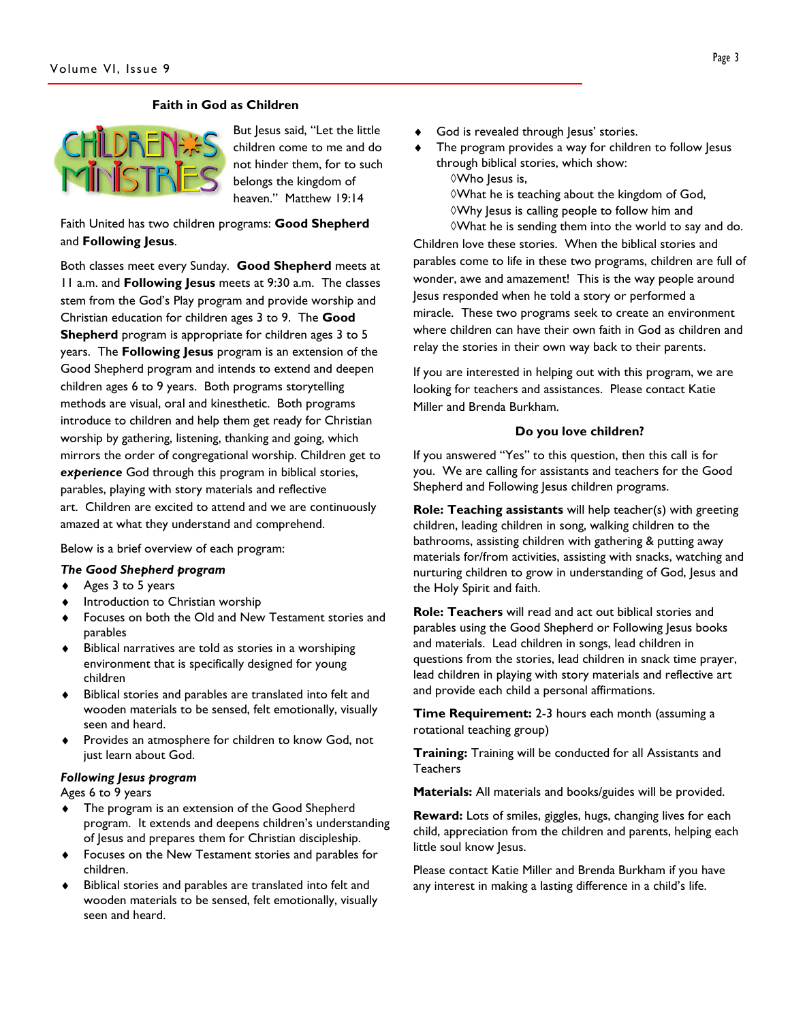### Faith in God as Children



But Jesus said, "Let the little children come to me and do not hinder them, for to such belongs the kingdom of heaven." Matthew 19:14

Faith United has two children programs: Good Shepherd and Following Jesus.

Both classes meet every Sunday. Good Shepherd meets at 11 a.m. and Following Jesus meets at 9:30 a.m. The classes stem from the God's Play program and provide worship and Christian education for children ages 3 to 9. The Good Shepherd program is appropriate for children ages 3 to 5 years. The Following Jesus program is an extension of the Good Shepherd program and intends to extend and deepen children ages 6 to 9 years. Both programs storytelling methods are visual, oral and kinesthetic. Both programs introduce to children and help them get ready for Christian worship by gathering, listening, thanking and going, which mirrors the order of congregational worship. Children get to experience God through this program in biblical stories, parables, playing with story materials and reflective art. Children are excited to attend and we are continuously amazed at what they understand and comprehend.

Below is a brief overview of each program:

- The Good Shepherd program
- ♦ Ages 3 to 5 years
- Introduction to Christian worship
- Focuses on both the Old and New Testament stories and parables
- ♦ Biblical narratives are told as stories in a worshiping environment that is specifically designed for young children
- Biblical stories and parables are translated into felt and wooden materials to be sensed, felt emotionally, visually seen and heard.
- Provides an atmosphere for children to know God, not just learn about God.

### Following Jesus program

Ages 6 to 9 years

- ♦ The program is an extension of the Good Shepherd program. It extends and deepens children's understanding of Jesus and prepares them for Christian discipleship.
- ♦ Focuses on the New Testament stories and parables for children.
- Biblical stories and parables are translated into felt and wooden materials to be sensed, felt emotionally, visually seen and heard.
- God is revealed through Jesus' stories.
- The program provides a way for children to follow Jesus through biblical stories, which show: ◊Who Jesus is,

◊What he is teaching about the kingdom of God, ◊Why Jesus is calling people to follow him and ◊What he is sending them into the world to say and do.

Children love these stories. When the biblical stories and parables come to life in these two programs, children are full of wonder, awe and amazement! This is the way people around Jesus responded when he told a story or performed a miracle. These two programs seek to create an environment where children can have their own faith in God as children and relay the stories in their own way back to their parents.

If you are interested in helping out with this program, we are looking for teachers and assistances. Please contact Katie Miller and Brenda Burkham.

### Do you love children?

If you answered "Yes" to this question, then this call is for you. We are calling for assistants and teachers for the Good Shepherd and Following Jesus children programs.

Role: Teaching assistants will help teacher(s) with greeting children, leading children in song, walking children to the bathrooms, assisting children with gathering & putting away materials for/from activities, assisting with snacks, watching and nurturing children to grow in understanding of God, Jesus and the Holy Spirit and faith.

Role: Teachers will read and act out biblical stories and parables using the Good Shepherd or Following Jesus books and materials. Lead children in songs, lead children in questions from the stories, lead children in snack time prayer, lead children in playing with story materials and reflective art and provide each child a personal affirmations.

**Time Requirement:** 2-3 hours each month (assuming a rotational teaching group)

Training: Training will be conducted for all Assistants and **Teachers** 

Materials: All materials and books/guides will be provided.

Reward: Lots of smiles, giggles, hugs, changing lives for each child, appreciation from the children and parents, helping each little soul know Jesus.

Please contact Katie Miller and Brenda Burkham if you have any interest in making a lasting difference in a child's life.